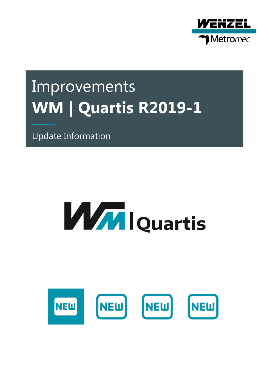

# Improvements **WM | Quartis R2019-1**

Update Information

# **WWW lQuartis**

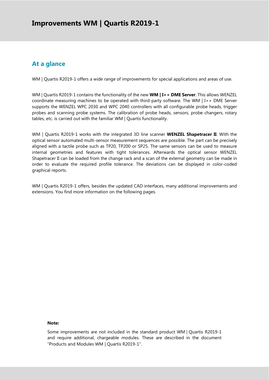# **At a glance**

WM | Quartis R2019-1 offers a wide range of improvements for special applications and areas of use.

WM | Quartis R2019-1 contains the functionality of the new **WM | I++ DME Server**. This allows WENZEL coordinate measuring machines to be operated with third-party software. The WM | I++ DME Server supports the WENZEL WPC 2030 and WPC 2040 controllers with all configurable probe heads, trigger probes and scanning probe systems. The calibration of probe heads, sensors, probe changers, rotary tables, etc. is carried out with the familiar WM | Quartis functionality.

WM | Quartis R2019-1 works with the integrated 3D line scanner **WENZEL Shapetracer II**. With the optical sensor automated multi-sensor measurement sequences are possible. The part can be precisely aligned with a tactile probe such as TP20, TP200 or SP25. The same sensors can be used to measure internal geometries and features with tight tolerances. Afterwards the optical sensor WENZEL Shapetracer II can be loaded from the change rack and a scan of the external geometry can be made in order to evaluate the required profile tolerance. The deviations can be displayed in color-coded graphical reports.

WM | Quartis R2019-1 offers, besides the updated CAD interfaces, many additional improvements and extensions. You find more information on the following pages.

#### **Note:**

Some improvements are not included in the standard product WM | Quartis R2019-1 and require additional, chargeable modules. These are described in the document "Products and Modules WM | Quartis R2019-1".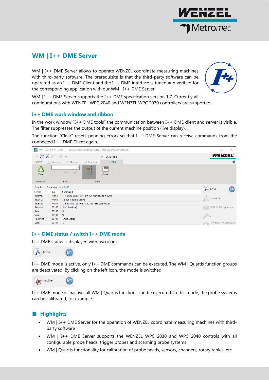

# **WM | I++ DME Server**

WM | I++ DME Server allows to operate WENZEL coordinate measuring machines with third-party software. The prerequisite is that the third-party software can be operated as an I++ DME Client and the I++ DME interface is tuned and verified for the corresponding application with our WM | I++ DME Server.



WM | I++ DME Server supports the I++ DME specification version 1.7. Currently all configurations with WENZEL WPC 2040 and WENZEL WPC 2030 controllers are supported.

# **I++ DME work window and ribbon**

In the work window "I++ DME tools" the communication between I++ DME client and server is visible. The filter suppresses the output of the current machine position (live display).

The function "Clear" resets pending errors so that I++ DME Server can receive commands from the connected I++ DME Client again.



# **I++ DME status / switch I++ DME mode**

I++ DME status is displayed with two icons.



I++ DME mode is active, only I++ DME commands can be executed. The WM | Quartis function groups are deactivated. By clicking on the left icon, the mode is switched.



I++ DME mode is inactive, all WM | Quartis functions can be executed. In this mode, the probe systems can be calibrated, for example.

# ■ **Highlights**

- WM | I++ DME Server for the operation of WENZEL coordinate measuring machines with thirdparty software
- WM | I++ DME Server supports the WENZEL WPC 2030 and WPC 2040 controls with all configurable probe heads, trigger probes and scanning probe systems
- WM | Quartis functionality for calibration of probe heads, sensors, changers, rotary tables, etc.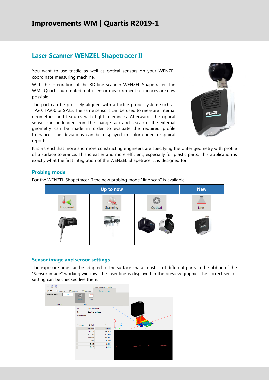# **Improvements WM | Quartis R2019-1**

# **Laser Scanner WENZEL Shapetracer II**

You want to use tactile as well as optical sensors on your WENZEL coordinate measuring machine.

With the integration of the 3D line scanner WENZEL Shapetracer II in WM | Quartis automated multi-sensor measurement sequences are now possible.

The part can be precisely aligned with a tactile probe system such as TP20, TP200 or SP25. The same sensors can be used to measure internal geometries and features with tight tolerances. Afterwards the optical sensor can be loaded from the change rack and a scan of the external geometry can be made in order to evaluate the required profile tolerance. The deviations can be displayed in color-coded graphical reports.



It is a trend that more and more constructing engineers are specifying the outer geometry with profile of a surface tolerance. This is easier and more efficient, especially for plastic parts. This application is exactly what the first integration of the WENZEL Shapetracer II is designed for.

# **Probing mode**

For the WENZEL Shapetracer II the new probing mode "line scan" is available.



# **Sensor image and sensor settings**

The exposure time can be adapted to the surface characteristics of different parts in the ribbon of the "Sensor image" working window. The laser line is displayed in the preview graphic. The correct sensor setting can be checked live there.

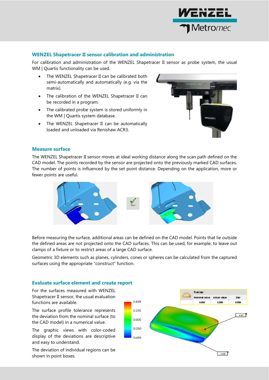

# **WENZEL Shapetracer II sensor calibration and administration**

For calibration and administration of the WENZEL Shapetracer II sensor as probe system, the usual WM | Quartis functionality can be used.

- The WENZEL Shapetracer II can be calibrated both semi-automatically and automatically (e.g. via the matrix).
- The calibration of the WENZEL Shapetracer II can be recorded in a program.
- The calibrated probe system is stored uniformly in the WM | Quartis system database.
- The WENZEL Shapetracer II can be automatically loaded and unloaded via Renishaw ACR3.



# **Measure surface**

The WENZEL Shapetracer II sensor moves at ideal working distance along the scan path defined on the CAD model. The points recorded by the sensor are projected onto the previously marked CAD surfaces. The number of points is influenced by the set point distance. Depending on the application, more or fewer points are useful.



Before measuring the surface, additional areas can be defined on the CAD model. Points that lie outside the defined areas are not projected onto the CAD surfaces. This can be used, for example, to leave out clamps of a fixture or to restrict areas of a large CAD surface.

Geometric 3D elements such as planes, cylinders, cones or spheres can be calculated from the captured surfaces using the appropriate "construct" function.

# **Evaluate surface element and create report**

For the surfaces measured with WENZEL Shapetracer II sensor, the usual evaluation functions are available.

The surface profile tolerance represents the deviation from the nominal surface (to the CAD model) in a numerical value.

The graphic views with color-coded display of the deviations are descriptive and easy to understand.

The deviation of individual regions can be shown in point boxes.

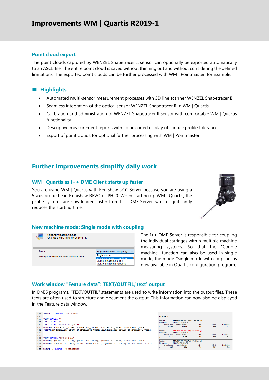# **Improvements WM | Quartis R2019-1**

### **Point cloud export**

The point clouds captured by WENZEL Shapetracer II sensor can optionally be exported automatically to an ASCII file. The entire point cloud is saved without thinning out and without considering the defined limitations. The exported point clouds can be further processed with WM | Pointmaster, for example.

# ■ **Highlights**

- Automated multi-sensor measurement processes with 3D line scanner WENZEL Shapetracer II
- Seamless integration of the optical sensor WENZEL Shapetracer II in WM | Quartis
- Calibration and administration of WENZEL Shapetracer II sensor with comfortable WM | Quartis functionality
- Descriptive measurement reports with color-coded display of surface profile tolerances
- Export of point clouds for optional further processing with WM | Pointmaster

# **Further improvements simplify daily work**

#### **WM | Quartis as I++ DME Client starts up faster**

You are using WM | Quartis with Renishaw UCC Server because you are using a 5 axis probe head Renishaw REVO or PH20. When starting up WM | Quartis, the probe systems are now loaded faster from I++ DME Server, which significantly reduces the starting time.



#### **New machine mode: Single mode with coupling**



The I++ DME Server is responsible for coupling the individual carriages within multiple machine measuring systems. So that the "Couple machine" function can also be used in single mode, the mode "Single mode with coupling" is now available in Quartis configuration program.

# **Work window "Feature data": TEXT/OUTFIL,'text' output**

In DMIS programs, "TEXT/OUTFIL" statements are used to write information into the output files. These texts are often used to structure and document the output. This information can now also be displayed in the Feature data window.

| 855 | DMESW / COMAND, 'PROTONEW'                                                                   |
|-----|----------------------------------------------------------------------------------------------|
| 856 |                                                                                              |
| 857 | TEXT/OUTFIL, ''                                                                              |
| 858 | TEXT/OUTFIL.''                                                                               |
| 859 | TEXT/OUTFIL, 'RPS 4 Fz (AR:B)'                                                               |
| 860 | OUTPUT/F (MRGHA1001 UDCA), T (MRGHA1001 UDCAX), T (MRGHA1001 UDCAY), T (MRGHA1001 UDCAZ)     |
| 861 | OUTPUT/FA (MRGHA1001 UDCA), TA (MRGHA1001 UDCAX), TA (MRGHA1001 UDCAY), TA (MRGHA1001 UDCAZ) |
| 862 |                                                                                              |
| 863 |                                                                                              |
| 864 | TEXT/OUTFIL. 'RPS 102 fz'                                                                    |
| 865 | OUTPUT/F(MRVTU1001 UDCA), T(MRVTU1001 UDCAX), T(MRVTU1001 UDCAY), T(MRVTU1001 UDCAZ)         |
| 866 | OUTPUT/FA (MRVTU1001 UDCA), TA (MRVTU1001 UDCAX), TA (MRVTU1001 UDCAY), TA (MRVTU1001 UDCAZ) |
| 867 |                                                                                              |
| 868 | COMAND, 'PROTOCHECK'<br><b>DMESW</b>                                                         |

| <b>RPS 102 fz</b>                 |                                        |             |        |           |  |  |
|-----------------------------------|----------------------------------------|-------------|--------|-----------|--|--|
| Feature                           | <b>MRVTU1001 UDCAX/ - Position [x]</b> |             |        |           |  |  |
| MRVTU1001 UDCA<br><b>Elements</b> |                                        |             |        |           |  |  |
| Actual value Nominal value        |                                        | <b>UTol</b> | LTol   | Deviation |  |  |
| 2159.8<br>x                       | 2160.5                                 | 1.0         | $-1.0$ | $-0.7$    |  |  |
| Feature                           | <b>MRVTU1001 UDCAY/ - Position [v]</b> |             |        |           |  |  |
| MRVTU1001 UDCA<br><b>Elements</b> |                                        |             |        |           |  |  |
| Actual value                      | Nominal value                          | UTol        | 1 Tol  | Deviation |  |  |
| 756.3<br>v                        | 758.0                                  | 1.0         | $-1.0$ | $-1.7$    |  |  |
| Feature                           | <b>MRVTU1001 UDCAZ/ - Position [z]</b> |             |        |           |  |  |
| MRVTU1001 UDCA<br><b>Elements</b> |                                        |             |        |           |  |  |
| Actual value Nominal value        |                                        | UTol        | 1 Tol  | Deviation |  |  |
| $-98.0$<br>ż                      | $-98.0$                                | 0.2         | $-0.2$ | 0.0       |  |  |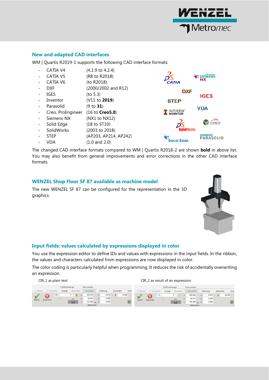

# **New and adapted CAD interfaces**

WM | Quartis R2019-1 supports the following CAD interface formats:

- CATIA V4 (4.1.9 to 4.2.4)
- CATIA V5 (R8 to R2018)
- CATIA V6 (to R2018)
- DXF (2000/2002 and R12)
- $IGES$  (to 5.3)
- Inventor (V11 to **2019**)
- Parasolid (9 to **31**)
- Creo, ProEngineer (16 to **Creo5.0**)
- Siemens NX (NX1 to NX12)
- Solid Edge (18 to ST10)
- SolidWorks (2003 to 2018)
- STEP (AP203, AP214, AP242)
- VDA (1.0 and 2.0)



The changed CAD interface formats compared to WM | Quartis R2018-2 are shown **bold** in above list. You may also benefit from general improvements and error corrections in the other CAD interface formats.

# **WENZEL Shop Floor SF 87 available as machine model**

The new WENZEL SF 87 can be configured for the representation in the 3D graphics.



# **Input fields: values calculated by expressions displayed in color**

You use the expression editor to define IDs and values with expressions in the input fields. In the ribbon, the values and characters calculated from expressions are now displayed in color.

The color coding is particularly helpful when programming. It reduces the risk of accidentally overwriting an expression.

#### CIR\_2 as plain text: CIR\_2 as result of an expression:

|         |           |         | Grafikwerkzeuge |                                        |   | Kreis messen              |  |            |            |        |       |  |         |                     |           | Grafikwerkzeuge |              |   | Kreis messen |            |            |        |                   |
|---------|-----------|---------|-----------------|----------------------------------------|---|---------------------------|--|------------|------------|--------|-------|--|---------|---------------------|-----------|-----------------|--------------|---|--------------|------------|------------|--------|-------------------|
| Messen  | Auswerten |         | Anzeige         | Bearbeiten                             |   | Geometrie                 |  | Verteilung | Bearbeiten |        | Merki |  | Messen  |                     | Auswerten | Anzeige         | Bearbeiten   |   | Geometrie    | Verteilung | Bearbeiten |        | Merki             |
| Starten |           | $CIR_2$ |                 | $\mathbf{r}$ $\mathbf{r}$ $\mathbf{r}$ |   | $-293.444$                |  | $-0.978$   | $\sigma$   | 24.000 |       |  |         | $CIR_2$             |           |                 | $\mathbf{v}$ |   | $-293.444$   | $-0.978$   |            | 24,000 |                   |
|         | Abbrechen |         |                 |                                        |   | 62.374                    |  | 0.208      |            |        |       |  | Starten | $\sim$<br>Abbrechen |           |                 |              |   | 62.374       | 0.208      |            |        |                   |
|         |           |         |                 | <b>LOCAL</b>                           | Z | 231.000 $\frac{1}{100}$ k |  | 0.000      |            |        |       |  |         |                     |           |                 | <b>SER</b>   | Z | $231.000$    | 0.000      |            |        |                   |
|         |           |         |                 |                                        |   | <b>Nennwerte</b>          |  |            |            |        | m.    |  |         |                     |           |                 |              |   | Monmundo.    |            |            |        | <b>CONTRACTOR</b> |